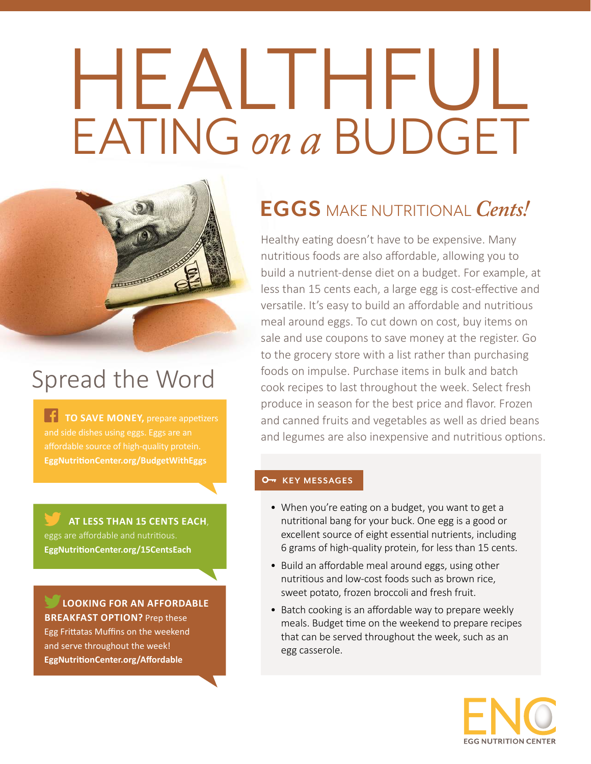# HEALTHFUL EATING *on a* BUDGET



## Spread the Word

**TO SAVE MONEY,** prepare appetizers and side dishes using eggs. Eggs are an affordable source of high-quality protein. **[EggNutritionCenter.org/B](http://EggNutritionCenter.org/BudgetWithEggs)udgetWithEggs**

 **AT LESS THAN 15 CENTS EACH**, eggs are affordable and nutritious. **[EggNutritionCenter.org/1](http://EggNutritionCenter.org/15CentsEach)5CentsEach**

 **LOOKING FOR AN AFFORDABLE BREAKFAST OPTION?** Prep these Egg Frittatas Muffins on the weekend and serve throughout the week! **[EggNutritionCenter.org/Affordable](http://EggNutritionCenter.org/Affordable)**

### **EGGS** MAKE NUTRITIONAL*Cents!*

Healthy eating doesn't have to be expensive. Many nutritious foods are also affordable, allowing you to build a nutrient-dense diet on a budget. For example, at less than 15 cents each, a large egg is cost-effective and versatile. It's easy to build an affordable and nutritious meal around eggs. To cut down on cost, buy items on sale and use coupons to save money at the register. Go to the grocery store with a list rather than purchasing foods on impulse. Purchase items in bulk and batch cook recipes to last throughout the week. Select fresh produce in season for the best price and flavor. Frozen and canned fruits and vegetables as well as dried beans and legumes are also inexpensive and nutritious options.

#### **O<sub>T</sub>** KEY MESSAGES

- When you're eating on a budget, you want to get a nutritional bang for your buck. One egg is a good or excellent source of eight essential nutrients, including 6 grams of high-quality protein, for less than 15 cents.
- Build an affordable meal around eggs, using other nutritious and low-cost foods such as brown rice, sweet potato, frozen broccoli and fresh fruit.
- Batch cooking is an affordable way to prepare weekly meals. Budget time on the weekend to prepare recipes that can be served throughout the week, such as an egg casserole.